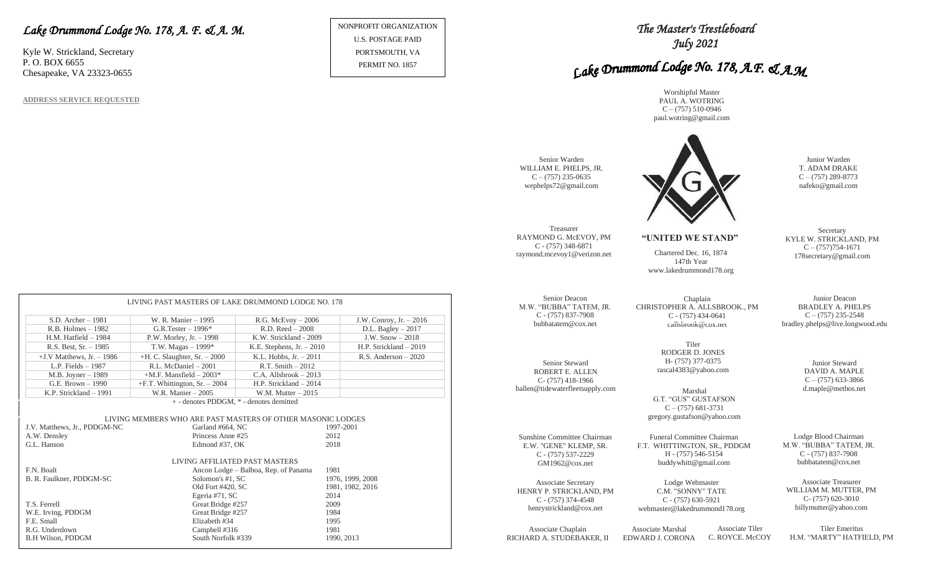### *Lake Drummond Lodge No. 178, A. F. & A. M.*

Kyle W. Strickland, Secretary P. O. BOX 6655 Chesapeake, VA 23323-0655

**ADDRESS SERVICE REQUESTED**

NONPROFIT ORGANIZATION U.S. POSTAGE PAID PORTSMOUTH, VA PERMIT NO. 1857

## *The Master's Trestleboard July 2021*

# Lake Drummond Lodge No. 178, A.F. & A.M.

Worshipful Master PAUL A. WOTRING  $C - (757)$  510-0946 paul.wotring@gmail.com



Tiler RODGER D. JONES H- (757) 377-0375 rascal4383@yahoo.com

G.T. "GUS" GUSTAFSON  $C - (757)$  681-3731 gregory.gustafson@yahoo.com

Funeral Committee Chairman F.T. WHITTINGTON, SR., PDDGM H - (757) 546-5154 buddywhitt@gmail.com

Lodge Webmaster C.M. "SONNY" TATE C - (757) 630-5921 webmaster@lakedrummond178.org

Chaplain CHRISTOPHER A. ALLSBROOK., PM C - (757) 434-0641 callsbrook@cox.net

147th Year www.lakedrummond178.org

**"UNITED WE STAND"**

Junior Warden T. ADAM DRAKE  $C - (757) 289 - 8773$ nafeko@gmail.com

**Secretary** KYLE W. STRICKLAND, PM  $C - (757)754-1671$ 178secretary@gmail.com

Junior Deacon BRADLEY A. PHELPS  $C - (757)$  235-2548 bradley.phelps@live.longwood.edu

Junior Steward DAVID A. MAPLE  $C - (757)$  633-3866 Marshal d.maple@methos.net

> Lodge Blood Chairman M.W. "BUBBA" TATEM, JR. C - (757) 837-7908 bubbatatem@cox.net

Associate Treasurer WILLIAM M. MUTTER, PM C- (757) 620-3010 billymutter@yahoo.com

Associate Chaplain RICHARD A. STUDEBAKER, II

Senior Steward ROBERT E. ALLEN C- (757) 418-1966 ballen@tidewaterfleetsupply.com

Senior Deacon M.W. "BUBBA" TATEM, JR. C - (757) 837-7908 bubbatatem@cox.net

Sunshine Committee Chairman E.W. "GENE" KLEMP, SR. C - (757) 537-2229 GM1962@cox.net

Associate Secretary HENRY P. STRICKLAND, PM C - (757) 374-4548 henrystrickland@cox.net

Treasurer RAYMOND G. McEVOY, PM C - (757) 348-6871

Senior Warden WILLIAM E. PHELPS, JR.  $C - (757)$  235-0635 wephelps72@gmail.com

raymond.mcevoy1@verizon.net Chartered Dec. 16, 1874

Associate Marshal EDWARD J. CORONA Associate Tiler C. ROYCE. McCOY

Tiler Emeritus H.M. "MARTY" HATFIELD, PM

|                              | LIVING PAST MASTERS OF LAKE DRUMMOND LODGE NO. 178          |                                      |              |                           |
|------------------------------|-------------------------------------------------------------|--------------------------------------|--------------|---------------------------|
|                              |                                                             |                                      |              |                           |
| $S.D.$ Archer $-1981$        | W. R. Manier - 1995                                         | $R.G.$ McEvoy $-2006$                |              | J.W. Conroy, $Jr. - 2016$ |
| $R.B.$ Holmes $-1982$        | $G.R.Tester-1996*$                                          | $R.D. Reed - 2008$                   |              | D.L. Bagley $-2017$       |
| $H.M.$ Hatfield $-1984$      | P.W. Morley, Jr. $-1998$                                    | K.W. Strickland - 2009               |              | J.W. $Show-2018$          |
| R.S. Best, Sr. - 1985        | T.W. Magas $-1999*$                                         | K.E. Stephens, $Jr. - 2010$          |              | H.P. Strickland - 2019    |
| $+J.V$ Matthews, Jr. $-1986$ | $+H$ . C. Slaughter, Sr. $-2000$                            | K.L. Hobbs, $Jr. - 2011$             |              | R.S. Anderson $-2020$     |
| L.P. Fields $-1987$          | R.L. McDaniel - 2001                                        | R.T. Smith $-2012$                   |              |                           |
| M.B. Joyner - 1989           | $+M.F.$ Mansfield $-2003*$                                  | $C.A.$ Allsbrook $-2013$             |              |                           |
| G.E. Brown - 1990            | $+F.T.$ Whittington, Sr. $-2004$                            | H.P. Strickland - 2014               |              |                           |
| K.P. Strickland - 1991       | W.R. Manier - 2005                                          | W.M. Mutter $-2015$                  |              |                           |
|                              | + - denotes PDDGM, * - denotes demitted                     |                                      |              |                           |
|                              |                                                             |                                      |              |                           |
|                              | LIVING MEMBERS WHO ARE PAST MASTERS OF OTHER MASONIC LODGES |                                      |              |                           |
| J.V. Matthews, Jr., PDDGM-NC | Garland #664, NC                                            |                                      | 1997-2001    |                           |
| A.W. Densley<br>G.L. Hanson  | Princess Anne #25                                           |                                      | 2012<br>2018 |                           |
|                              | Edmond #37, OK                                              |                                      |              |                           |
|                              | LIVING AFFILIATED PAST MASTERS                              |                                      |              |                           |
| F.N. Boalt                   |                                                             | Ancon Lodge - Balboa, Rep. of Panama | 1981         |                           |
| B. R. Faulkner, PDDGM-SC     | Solomon's #1, SC                                            |                                      |              | 1976, 1999, 2008          |
|                              | Old Fort #420, SC                                           |                                      |              | 1981, 1982, 2016          |
|                              | Egeria #71, SC                                              |                                      | 2014         |                           |
| T.S. Ferrell                 | Great Bridge #257                                           |                                      | 2009         |                           |
| W.E. Irving, PDDGM           | Great Bridge #257                                           |                                      | 1984         |                           |
| F.E. Small                   | Elizabeth #34                                               |                                      | 1995         |                           |

R.G. Underdown Campbell #316 1981 B.H Wilson, PDDGM South Norfolk #339 1990, 2013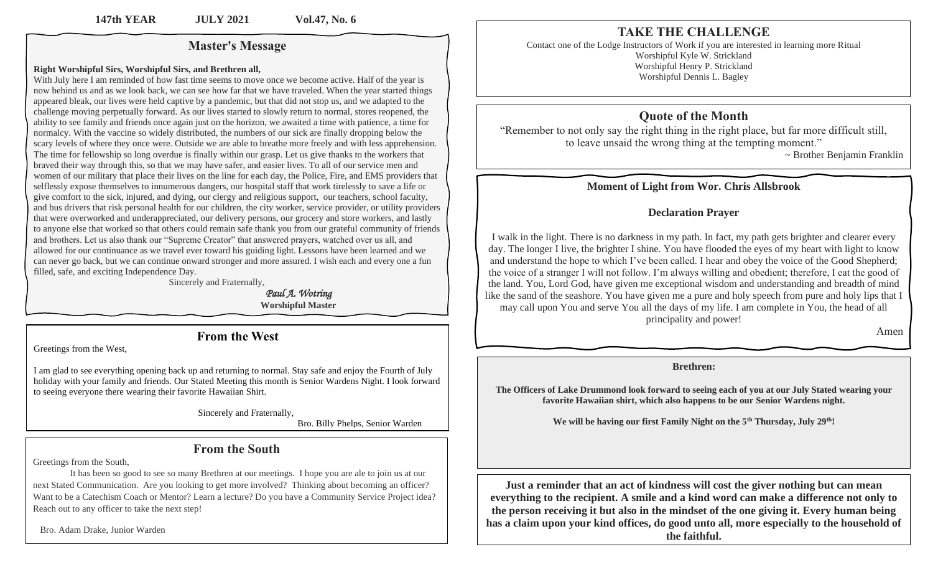#### **Master's Message**

#### **Right Worshipful Sirs, Worshipful Sirs, and Brethren all,**

With July here I am reminded of how fast time seems to move once we become active. Half of the year is now behind us and as we look back, we can see how far that we have traveled. When the year started things appeared bleak, our lives were held captive by a pandemic, but that did not stop us, and we adapted to the challenge moving perpetually forward. As our lives started to slowly return to normal, stores reopened, the ability to see family and friends once again just on the horizon, we awaited a time with patience, a time for normalcy. With the vaccine so widely distributed, the numbers of our sick are finally dropping below the scary levels of where they once were. Outside we are able to breathe more freely and with less apprehension. The time for fellowship so long overdue is finally within our grasp. Let us give thanks to the workers that braved their way through this, so that we may have safer, and easier lives. To all of our service men and women of our military that place their lives on the line for each day, the Police, Fire, and EMS providers that selflessly expose themselves to innumerous dangers, our hospital staff that work tirelessly to save a life or give comfort to the sick, injured, and dying, our clergy and religious support, our teachers, school faculty, and bus drivers that risk personal health for our children, the city worker, service provider, or utility providers that were overworked and underappreciated, our delivery persons, our grocery and store workers, and lastly to anyone else that worked so that others could remain safe thank you from our grateful community of friends and brothers. Let us also thank our "Supreme Creator" that answered prayers, watched over us all, and allowed for our continuance as we travel ever toward his guiding light. Lessons have been learned and we can never go back, but we can continue onward stronger and more assured. I wish each and every one a fun filled, safe, and exciting Independence Day.

Sincerely and Fraternally,

 *Paul A. Wotring*  **Worshipful Master**

#### **From the West**

Greetings from the West,

I am glad to see everything opening back up and returning to normal. Stay safe and enjoy the Fourth of July holiday with your family and friends. Our Stated Meeting this month is Senior Wardens Night. I look forward to seeing everyone there wearing their favorite Hawaiian Shirt.

Sincerely and Fraternally,

Bro. Billy Phelps, Senior Warden

#### **From the South**

Greetings from the South,

 It has been so good to see so many Brethren at our meetings. I hope you are ale to join us at our next Stated Communication. Are you looking to get more involved? Thinking about becoming an officer? Want to be a Catechism Coach or Mentor? Learn a lecture? Do you have a Community Service Project idea? Reach out to any officer to take the next step!

Bro. Adam Drake, Junior Warden

## **TAKE THE CHALLENGE**

Contact one of the Lodge Instructors of Work if you are interested in learning more Ritual Worshipful Kyle W. Strickland Worshipful Henry P. Strickland Worshipful Dennis L. Bagley

## **Quote of the Month**

"Remember to not only say the right thing in the right place, but far more difficult still, to leave unsaid the wrong thing at the tempting moment."

~ Brother Benjamin Franklin

#### **Moment of Light from Wor. Chris Allsbrook**

#### **Declaration Prayer**

I walk in the light. There is no darkness in my path. In fact, my path gets brighter and clearer every day. The longer I live, the brighter I shine. You have flooded the eyes of my heart with light to know and understand the hope to which I've been called. I hear and obey the voice of the Good Shepherd; the voice of a stranger I will not follow. I'm always willing and obedient; therefore, I eat the good of the land. You, Lord God, have given me exceptional wisdom and understanding and breadth of mind like the sand of the seashore. You have given me a pure and holy speech from pure and holy lips that I may call upon You and serve You all the days of my life. I am complete in You, the head of all principality and power!

Amen

#### **Brethren:**

**The Officers of Lake Drummond look forward to seeing each of you at our July Stated wearing your favorite Hawaiian shirt, which also happens to be our Senior Wardens night.** 

**We will be having our first Family Night on the 5th Thursday, July 29th!**

**Just a reminder that an act of kindness will cost the giver nothing but can mean everything to the recipient. A smile and a kind word can make a difference not only to the person receiving it but also in the mindset of the one giving it. Every human being has a claim upon your kind offices, do good unto all, more especially to the household of the faithful.**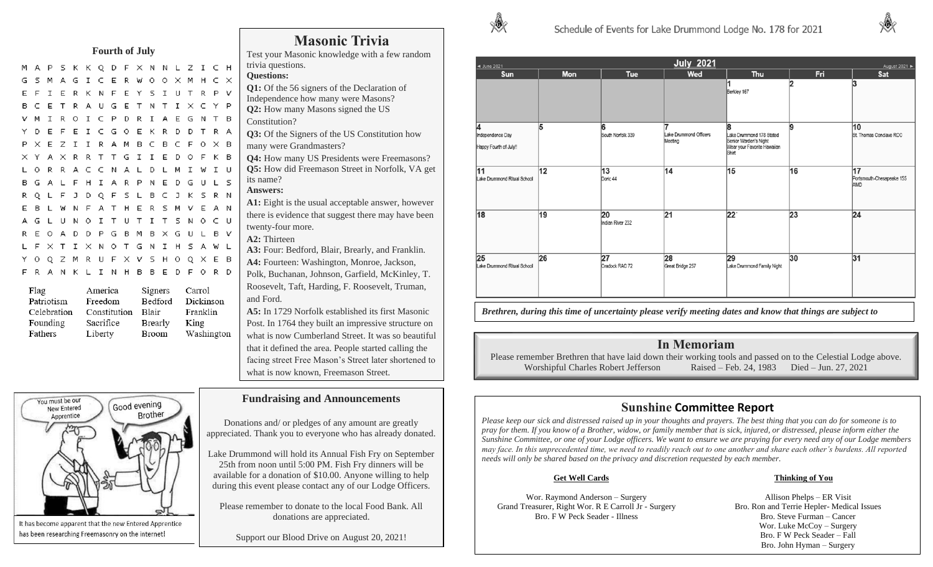#### **Fourth of July**

M A P S K K Q D F X N N L M A G I C E R W O O X I E R K N F E Y S I U E T R A U G E T N T I V M I R O I C P D R I A E E F E I C G O E K R D P X E Z I I R A M B C B C X Y A X R R T T G I I E I L O R R A C C N A L D L M A L F H I A R P N E D L F J D Q F S L B C L W N F A T H E R S M L U N O I T U T I T S O A D D P G B M B X O L F X T I X N O T G N I H S A W L Y O Q Z M R U F X V S H O Q X E B F R A N K L I N H B B E D F O R D

| Flag        | America      | Signers | Carrol     |
|-------------|--------------|---------|------------|
| Patriotism  | Freedom      | Bedford | Dickinson  |
| Celebration | Constitution | Blair   | Franklin   |
| Founding    | Sacrifice    | Brearly | King       |
| Fathers     | Liberty      | Broom   | Washington |



It has become apparent that the new Entered Apprentice has been researching Freemasonry on the internet!

|               |             |   | <b>Masonic Trivia</b><br>Test your Masonic knowledge with a few random |
|---------------|-------------|---|------------------------------------------------------------------------|
|               | . Z I C H   |   | trivia questions.                                                      |
|               | K M H C X   |   | <b>Questions:</b>                                                      |
|               |             |   | Q1: Of the 56 signers of the Declaration of                            |
|               | J T R P V   |   | Independence how many were Masons?                                     |
|               | I X C Y P   |   | <b>Q2:</b> How many Masons signed the US                               |
|               | E G N T B   |   | Constitution?                                                          |
|               | <b>DTRA</b> |   | <b>Q3:</b> Of the Signers of the US Constitution how                   |
|               | F O X B     |   | many were Grandmasters?                                                |
|               | ) О F К В   |   | <b>Q4:</b> How many US Presidents were Freemasons?                     |
|               | 1 I W I U   |   | Q5: How did Freemason Street in Norfolk, VA get                        |
|               | ) G U L S   |   | its name?                                                              |
|               | J K S R N   |   | <b>Answers:</b>                                                        |
|               | 1 V E A N   |   | <b>A1:</b> Eight is the usual acceptable answer, however               |
|               | SNOCU       |   | there is evidence that suggest there may have been                     |
|               |             |   | twenty-four more.                                                      |
| $\frac{1}{2}$ |             | v | <b>A2: Thirteen</b>                                                    |

**A3:** Four: Bedford, Blair, Brearly, and Franklin. **A4:** Fourteen: Washington, Monroe, Jackson,

Polk, Buchanan, Johnson, Garfield, McKinley, T. Roosevelt, Taft, Harding, F. Roosevelt, Truman, and Ford.

**A5:** In 1729 Norfolk established its first Masonic Post. In 1764 they built an impressive structure on what is now Cumberland Street. It was so beautiful that it defined the area. People started calling the facing street Free Mason's Street later shortened to what is now known, Freemason Street.

#### **Fundraising and Announcements**

Donations and/ or pledges of any amount are greatly appreciated. Thank you to everyone who has already donated.

Lake Drummond will hold its Annual Fish Fry on September 25th from noon until 5:00 PM. Fish Fry dinners will be available for a donation of \$10.00. Anyone willing to help during this event please contact any of our Lodge Officers.

Please remember to donate to the local Food Bank. All donations are appreciated.

Support our Blood Drive on August 20, 2021!



| <b>July 2021</b><br>◀ June 2021<br>August 2021   |            |                        |                                   |                                                                                                |     |                                        |
|--------------------------------------------------|------------|------------------------|-----------------------------------|------------------------------------------------------------------------------------------------|-----|----------------------------------------|
| <b>Sun</b>                                       | <b>Mon</b> | <b>Tue</b>             | Wed                               | Thu                                                                                            | Fri | Sat                                    |
|                                                  |            |                        |                                   | Berkley 167                                                                                    | 12  | 3                                      |
| 14<br>Independence Day<br>Happy Fourth of July!! | 5          | 6<br>South Norfolk 339 | Lake Drummond Officers<br>Meeting | 8<br>Lake Drummond 178 Stated<br>Senior Warden's Night<br>Wear your Favorite Hawaiian<br>Shirt | 9   | 10<br>St. Thomas Conclave RCC          |
| 11<br>Lake Drummond Ritual School                | 12         | 13<br>Doric 44         | 14                                | 15                                                                                             | 16  | 17<br>Portsmouth-Chesapeake 155<br>AMD |
| 18                                               | 19         | 20<br>Indian River 232 | 21                                | $22^{\circ}$                                                                                   | 23  | $\overline{24}$                        |
| 25<br>Lake Drummond Ritual School                | 26         | 27<br>Cradock RAC 72   | 28<br>Great Bridge 257            | 29<br>Lake Drummond Family Night                                                               | 30  | 31                                     |

*Brethren, during this time of uncertainty please verify meeting dates and know that things are subject to change.* 

#### **In Memoriam**

Please remember Brethren that have laid down their working tools and passed on to the Celestial Lodge above. Worshipful Charles Robert Jefferson Raised – Feb. 24, 1983 Died – Jun. 27, 2021

## **Sunshine Committee Report**

*Please keep our sick and distressed raised up in your thoughts and prayers. The best thing that you can do for someone is to pray for them. If you know of a Brother, widow, or family member that is sick, injured, or distressed, please inform either the Sunshine Committee, or one of your Lodge officers. We want to ensure we are praying for every need any of our Lodge members may face. In this unprecedented time, we need to readily reach out to one another and share each other's burdens. All reported needs will only be shared based on the privacy and discretion requested by each member.* 

Wor. Raymond Anderson – Surgery Grand Treasurer, Right Wor. R E Carroll Jr - Surgery Bro. F W Peck Seader - Illness

#### **Get Well Cards Thinking of You**

Allison Phelps – ER Visit Bro. Ron and Terrie Hepler- Medical Issues Bro. Steve Furman – Cancer Wor. Luke McCoy – Surgery Bro. F W Peck Seader – Fall Bro. John Hyman – Surgery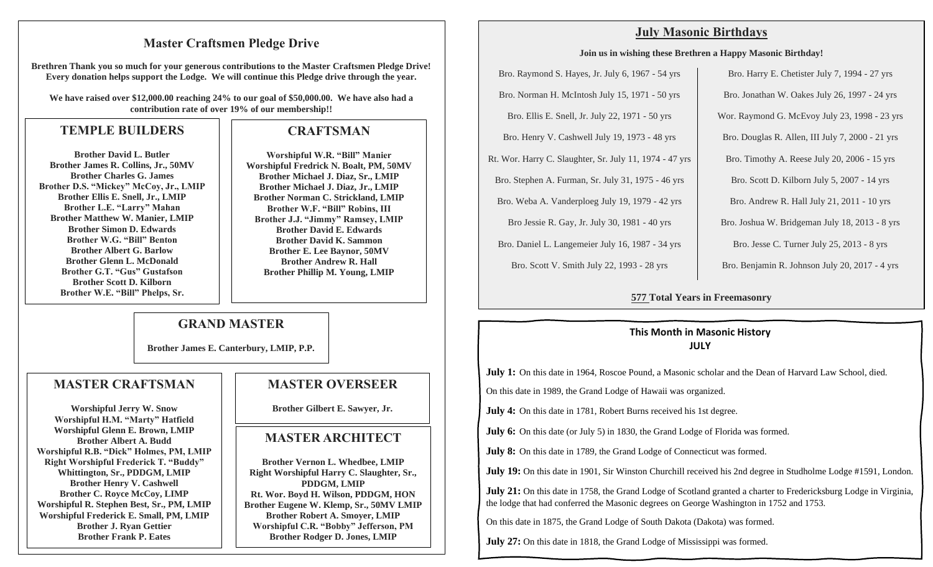#### **Master Craftsmen Pledge Drive**

**Brethren Thank you so much for your generous contributions to the Master Craftsmen Pledge Drive! Every donation helps support the Lodge. We will continue this Pledge drive through the year.**

**We have raised over \$12,000.00 reaching 24% to our goal of \$50,000.00. We have also had a contribution rate of over 19% of our membership!!**

## **TEMPLE BUILDERS**

**Brother David L. Butler Brother James R. Collins, Jr., 50MV Brother Charles G. James Brother D.S. "Mickey" McCoy, Jr., LMIP Brother Ellis E. Snell, Jr., LMIP Brother L.E. "Larry" Mahan Brother Matthew W. Manier, LMIP Brother Simon D. Edwards Brother W.G. "Bill" Benton Brother Albert G. Barlow Brother Glenn L. McDonald Brother G.T. "Gus" Gustafson Brother Scott D. Kilborn Brother W.E. "Bill" Phelps, Sr.**

## **CRAFTSMAN**

**Worshipful W.R. "Bill" Manier Worshipful Fredrick N. Boalt, PM, 50MV Brother Michael J. Diaz, Sr., LMIP Brother Michael J. Diaz, Jr., LMIP Brother Norman C. Strickland, LMIP Brother W.F. "Bill" Robins, III Brother J.J. "Jimmy" Ramsey, LMIP Brother David E. Edwards Brother David K. Sammon Brother E. Lee Baynor, 50MV Brother Andrew R. Hall Brother Phillip M. Young, LMIP**

## **GRAND MASTER**

**Brother James E. Canterbury, LMIP, P.P.** 

#### **MASTER CRAFTSMAN**

**Worshipful Jerry W. Snow Worshipful H.M. "Marty" Hatfield Worshipful Glenn E. Brown, LMIP Brother Albert A. Budd Worshipful R.B. "Dick" Holmes, PM, LMIP Right Worshipful Frederick T. "Buddy" Whittington, Sr., PDDGM, LMIP Brother Henry V. Cashwell Brother C. Royce McCoy, LIMP Worshipful R. Stephen Best, Sr., PM, LMIP Worshipful Frederick E. Small, PM, LMIP Brother J. Ryan Gettier Brother Frank P. Eates**

## **MASTER OVERSEER**

**Brother Gilbert E. Sawyer, Jr.**

## **MASTER ARCHITECT**

**Brother Vernon L. Whedbee, LMIP Right Worshipful Harry C. Slaughter, Sr., PDDGM, LMIP Rt. Wor. Boyd H. Wilson, PDDGM, HON Brother Eugene W. Klemp, Sr., 50MV LMIP Brother Robert A. Smoyer, LMIP Worshipful C.R. "Bobby" Jefferson, PM Brother Rodger D. Jones, LMIP**

## **July Masonic Birthdays**

#### **Join us in wishing these Brethren a Happy Masonic Birthday!**

Bro. Raymond S. Hayes, Jr. July 6, 1967 - 54 yrs Bro. Norman H. McIntosh July 15, 1971 - 50 yrs Bro. Ellis E. Snell, Jr. July 22, 1971 - 50 yrs Bro. Henry V. Cashwell July 19, 1973 - 48 yrs Rt. Wor. Harry C. Slaughter, Sr. July 11, 1974 - 47 yrs Bro. Stephen A. Furman, Sr. July 31, 1975 - 46 yrs Bro. Weba A. Vanderploeg July 19, 1979 - 42 yrs Bro Jessie R. Gay, Jr. July 30, 1981 - 40 yrs Bro. Daniel L. Langemeier July 16, 1987 - 34 yrs Bro. Scott V. Smith July 22, 1993 - 28 yrs

Bro. Harry E. Chetister July 7, 1994 - 27 yrs Bro. Jonathan W. Oakes July 26, 1997 - 24 yrs Wor. Raymond G. McEvoy July 23, 1998 - 23 yrs Bro. Douglas R. Allen, III July 7, 2000 - 21 yrs Bro. Timothy A. Reese July 20, 2006 - 15 yrs Bro. Scott D. Kilborn July 5, 2007 - 14 yrs Bro. Andrew R. Hall July 21, 2011 - 10 yrs Bro. Joshua W. Bridgeman July 18, 2013 - 8 yrs Bro. Jesse C. Turner July 25, 2013 - 8 yrs Bro. Benjamin R. Johnson July 20, 2017 - 4 yrs

#### **577 Total Years in Freemasonry**

#### **This Month in Masonic History JULY**

**July 1:** On this date in 1964, Roscoe Pound, a Masonic scholar and the Dean of Harvard Law School, died.

On this date in 1989, the Grand Lodge of Hawaii was organized.

**July 4:** On this date in 1781, Robert Burns received his 1st degree.

**July 6:** On this date (or July 5) in 1830, the Grand Lodge of Florida was formed.

**July 8:** On this date in 1789, the Grand Lodge of Connecticut was formed.

**July 19:** On this date in 1901, Sir Winston Churchill received his 2nd degree in Studholme Lodge #1591, London.

**July 21:** On this date in 1758, the Grand Lodge of Scotland granted a charter to Fredericksburg Lodge in Virginia, the lodge that had conferred the Masonic degrees on George Washington in 1752 and 1753.

On this date in 1875, the Grand Lodge of South Dakota (Dakota) was formed.

**July 27:** On this date in 1818, the Grand Lodge of Mississippi was formed.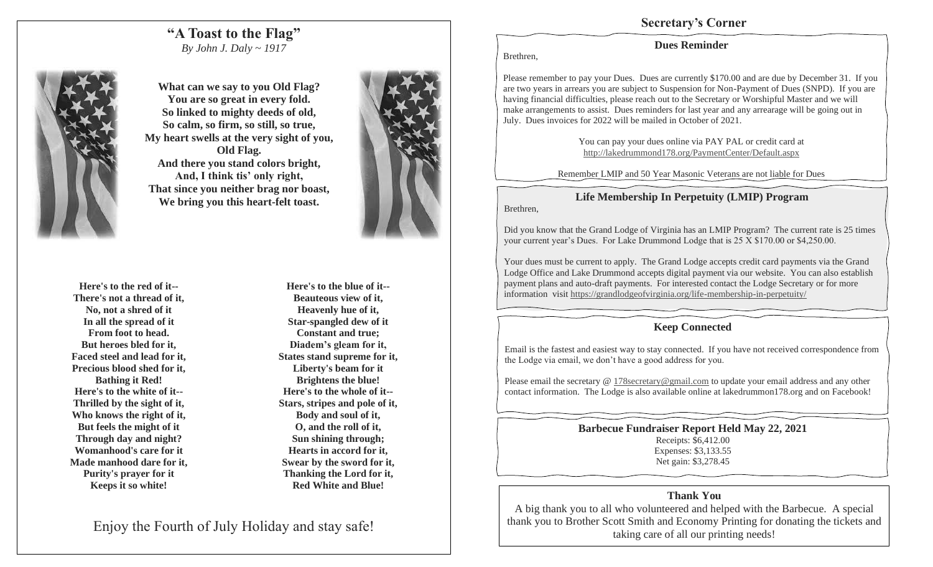#### **"A Toast to the Flag"** *By John J. Daly ~ 1917*



**What can we say to you Old Flag? You are so great in every fold. So linked to mighty deeds of old, So calm, so firm, so still, so true, My heart swells at the very sight of you, Old Flag. And there you stand colors bright, And, I think tis' only right, That since you neither brag nor boast, We bring you this heart-felt toast.**



**Here's to the blue of it-- Beauteous view of it, Heavenly hue of it, Star-spangled dew of it Constant and true; Diadem's gleam for it, States stand supreme for it, Liberty's beam for it Brightens the blue! Here's to the whole of it-- Stars, stripes and pole of it, Body and soul of it, O, and the roll of it, Sun shining through; Hearts in accord for it, Swear by the sword for it, Thanking the Lord for it, Red White and Blue!**

Enjoy the Fourth of July Holiday and stay safe!



## **Secretary's Corner**

#### **Dues Reminder**

Brethren,

Brethren,

Please remember to pay your Dues. Dues are currently \$170.00 and are due by December 31. If you are two years in arrears you are subject to Suspension for Non-Payment of Dues (SNPD). If you are having financial difficulties, please reach out to the Secretary or Worshipful Master and we will make arrangements to assist. Dues reminders for last year and any arrearage will be going out in July. Dues invoices for 2022 will be mailed in October of 2021.

> You can pay your dues online via PAY PAL or credit card at http://lakedrummond178.org/PaymentCenter/Default.aspx

Remember LMIP and 50 Year Masonic Veterans are not liable for Dues

**Life Membership In Perpetuity (LMIP) Program**

Did you know that the Grand Lodge of Virginia has an LMIP Program? The current rate is 25 times your current year's Dues. For Lake Drummond Lodge that is 25 X \$170.00 or \$4,250.00.

Your dues must be current to apply. The Grand Lodge accepts credit card payments via the Grand Lodge Office and Lake Drummond accepts digital payment via our website. You can also establish payment plans and auto-draft payments. For interested contact the Lodge Secretary or for more information visit https://grandlodgeofvirginia.org/life-membership-in-perpetuity/

#### **Keep Connected**

Email is the fastest and easiest way to stay connected. If you have not received correspondence from the Lodge via email, we don't have a good address for you.

Please email the secretary @ 178secretary@gmail.com to update your email address and any other contact information. The Lodge is also available online at lakedrummon178.org and on Facebook!

> **Barbecue Fundraiser Report Held May 22, 2021** Receipts: \$6,412.00 Expenses: \$3,133.55 Net gain: \$3,278.45

#### **Thank You**

A big thank you to all who volunteered and helped with the Barbecue. A special thank you to Brother Scott Smith and Economy Printing for donating the tickets and taking care of all our printing needs!